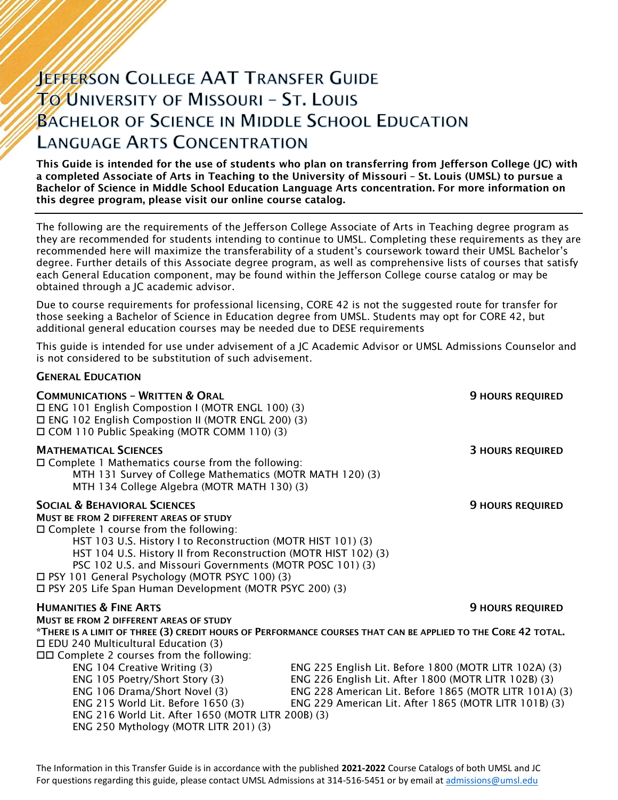# **JEFFERSON COLLEGE AAT TRANSFER GUIDE TO UNIVERSITY OF MISSOURI - ST. LOUIS BACHELOR OF SCIENCE IN MIDDLE SCHOOL EDUCATION LANGUAGE ARTS CONCENTRATION**

This Guide is intended for the use of students who plan on transferring from Jefferson College (JC) with a completed Associate of Arts in Teaching to the University of Missouri – St. Louis (UMSL) to pursue a Bachelor of Science in Middle School Education Language Arts concentration. For more information on this degree program, please visit our online course catalog.

The following are the requirements of the Jefferson College Associate of Arts in Teaching degree program as they are recommended for students intending to continue to UMSL. Completing these requirements as they are recommended here will maximize the transferability of a student's coursework toward their UMSL Bachelor's degree. Further details of this Associate degree program, as well as comprehensive lists of courses that satisfy each General Education component, may be found within the Jefferson College course catalog or may be obtained through a JC academic advisor.

Due to course requirements for professional licensing, CORE 42 is not the suggested route for transfer for those seeking a Bachelor of Science in Education degree from UMSL. Students may opt for CORE 42, but additional general education courses may be needed due to DESE requirements

This guide is intended for use under advisement of a JC Academic Advisor or UMSL Admissions Counselor and is not considered to be substitution of such advisement.

| <b>GENERAL EDUCATION</b> |  |
|--------------------------|--|
|--------------------------|--|

| <b>COMMUNICATIONS - WRITTEN &amp; ORAL</b><br>$\Box$ ENG 101 English Compostion I (MOTR ENGL 100) (3)<br>□ ENG 102 English Compostion II (MOTR ENGL 200) (3)<br>□ COM 110 Public Speaking (MOTR COMM 110) (3)                                                                                                                                                                                                                                       | <b>9 HOURS REQUIRED</b>                                                                                                                                                                                                                                                                 |
|-----------------------------------------------------------------------------------------------------------------------------------------------------------------------------------------------------------------------------------------------------------------------------------------------------------------------------------------------------------------------------------------------------------------------------------------------------|-----------------------------------------------------------------------------------------------------------------------------------------------------------------------------------------------------------------------------------------------------------------------------------------|
| <b>MATHEMATICAL SCIENCES</b><br>$\Box$ Complete 1 Mathematics course from the following:<br>MTH 131 Survey of College Mathematics (MOTR MATH 120) (3)<br>MTH 134 College Algebra (MOTR MATH 130) (3)                                                                                                                                                                                                                                                | <b>3 HOURS REQUIRED</b>                                                                                                                                                                                                                                                                 |
| <b>SOCIAL &amp; BEHAVIORAL SCIENCES</b><br>MUST BE FROM 2 DIFFERENT AREAS OF STUDY<br>$\Box$ Complete 1 course from the following:<br>HST 103 U.S. History I to Reconstruction (MOTR HIST 101) (3)<br>HST 104 U.S. History II from Reconstruction (MOTR HIST 102) (3)<br>PSC 102 U.S. and Missouri Governments (MOTR POSC 101) (3)<br>□ PSY 101 General Psychology (MOTR PSYC 100) (3)<br>□ PSY 205 Life Span Human Development (MOTR PSYC 200) (3) | <b>9 HOURS REQUIRED</b>                                                                                                                                                                                                                                                                 |
| <b>HUMANITIES &amp; FINE ARTS</b><br><b>MUST BE FROM 2 DIFFERENT AREAS OF STUDY</b>                                                                                                                                                                                                                                                                                                                                                                 | <b>9 HOURS REQUIRED</b>                                                                                                                                                                                                                                                                 |
| $\Box$ EDU 240 Multicultural Education (3)<br>$\Box$ Complete 2 courses from the following:<br>ENG 104 Creative Writing (3)<br>ENG 105 Poetry/Short Story (3)<br>ENG 106 Drama/Short Novel (3)                                                                                                                                                                                                                                                      | *THERE IS A LIMIT OF THREE (3) CREDIT HOURS OF PERFORMANCE COURSES THAT CAN BE APPLIED TO THE CORE 42 TOTAL.<br>ENG 225 English Lit. Before 1800 (MOTR LITR 102A) (3)<br>ENG 226 English Lit. After 1800 (MOTR LITR 102B) (3)<br>ENG 228 American Lit. Before 1865 (MOTR LITR 101A) (3) |
| ENG 215 World Lit. Before 1650 (3)<br>ENG 216 World Lit. After 1650 (MOTR LITR 200B) (3)<br>ENG 250 Mythology (MOTR LITR 201) (3)                                                                                                                                                                                                                                                                                                                   | ENG 229 American Lit. After 1865 (MOTR LITR 101B) (3)                                                                                                                                                                                                                                   |